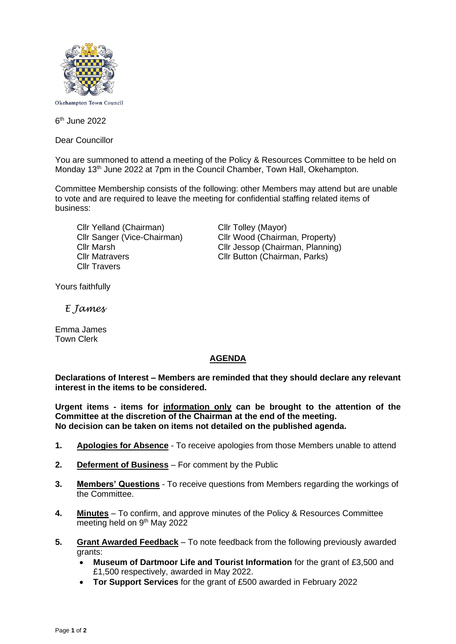

Okehampton Town Council

6 th June 2022

Dear Councillor

You are summoned to attend a meeting of the Policy & Resources Committee to be held on Monday 13<sup>th</sup> June 2022 at 7pm in the Council Chamber, Town Hall, Okehampton.

Committee Membership consists of the following: other Members may attend but are unable to vote and are required to leave the meeting for confidential staffing related items of business:

Cllr Yelland (Chairman) Cllr Tolley (Mayor) Cllr Travers

Cllr Sanger (Vice-Chairman) Cllr Wood (Chairman, Property) Cllr Marsh Cllr Jessop (Chairman, Planning) Cllr Matravers Cllr Button (Chairman, Parks)

Yours faithfully

 *E James*

Emma James Town Clerk

## **AGENDA**

**Declarations of Interest – Members are reminded that they should declare any relevant interest in the items to be considered.**

**Urgent items - items for information only can be brought to the attention of the Committee at the discretion of the Chairman at the end of the meeting. No decision can be taken on items not detailed on the published agenda.**

- **1. Apologies for Absence** To receive apologies from those Members unable to attend
- **2. Deferment of Business** For comment by the Public
- **3. Members' Questions** To receive questions from Members regarding the workings of the Committee.
- **4. Minutes** To confirm, and approve minutes of the Policy & Resources Committee meeting held on 9<sup>th</sup> May 2022
- **5. Grant Awarded Feedback** To note feedback from the following previously awarded grants:
	- **Museum of Dartmoor Life and Tourist Information** for the grant of £3,500 and £1,500 respectively, awarded in May 2022.
	- **Tor Support Services** for the grant of £500 awarded in February 2022